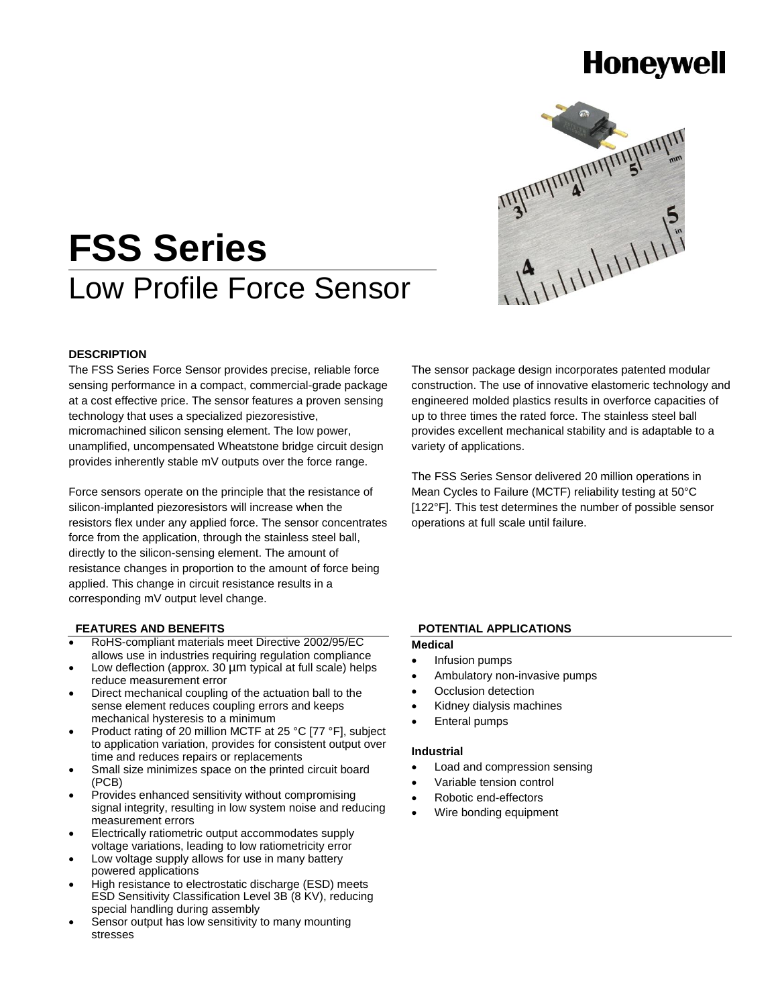# **Honeywell**



# **FSS Series** Low Profile Force Sensor

#### **DESCRIPTION**

The FSS Series Force Sensor provides precise, reliable force sensing performance in a compact, commercial-grade package at a cost effective price. The sensor features a proven sensing technology that uses a specialized piezoresistive, micromachined silicon sensing element. The low power, unamplified, uncompensated Wheatstone bridge circuit design provides inherently stable mV outputs over the force range.

Force sensors operate on the principle that the resistance of silicon-implanted piezoresistors will increase when the resistors flex under any applied force. The sensor concentrates force from the application, through the stainless steel ball, directly to the silicon-sensing element. The amount of resistance changes in proportion to the amount of force being applied. This change in circuit resistance results in a corresponding mV output level change.

#### **FEATURES AND BENEFITS**

- RoHS-compliant materials meet Directive 2002/95/EC allows use in industries requiring regulation compliance
- Low deflection (approx. 30 µm typical at full scale) helps reduce measurement error
- Direct mechanical coupling of the actuation ball to the sense element reduces coupling errors and keeps mechanical hysteresis to a minimum
- Product rating of 20 million MCTF at 25 °C [77 °F], subject to application variation, provides for consistent output over time and reduces repairs or replacements
- Small size minimizes space on the printed circuit board (PCB)
- Provides enhanced sensitivity without compromising signal integrity, resulting in low system noise and reducing measurement errors
- Electrically ratiometric output accommodates supply voltage variations, leading to low ratiometricity error
- Low voltage supply allows for use in many battery powered applications
- High resistance to electrostatic discharge (ESD) meets ESD Sensitivity Classification Level 3B (8 KV), reducing special handling during assembly
- Sensor output has low sensitivity to many mounting stresses

The sensor package design incorporates patented modular construction. The use of innovative elastomeric technology and engineered molded plastics results in overforce capacities of up to three times the rated force. The stainless steel ball provides excellent mechanical stability and is adaptable to a variety of applications.

The FSS Series Sensor delivered 20 million operations in Mean Cycles to Failure (MCTF) reliability testing at 50°C [122°F]. This test determines the number of possible sensor operations at full scale until failure.

#### **POTENTIAL APPLICATIONS**

#### **Medical**

- Infusion pumps
- Ambulatory non-invasive pumps
- Occlusion detection
- Kidney dialysis machines
- Enteral pumps

#### **Industrial**

- Load and compression sensing
- Variable tension control
- Robotic end-effectors
- Wire bonding equipment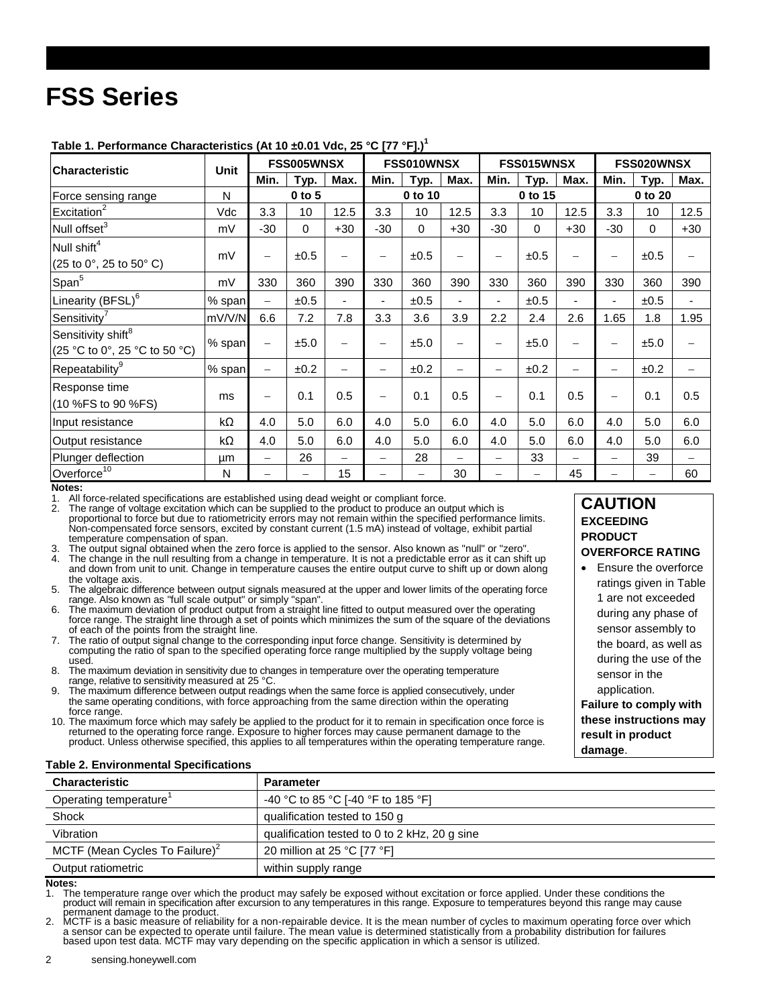# **FSS Series**

| Characteristic                                                  | Unit   | FSS005WNSX               |      |       | FSS010WNSX        |             |                          | FSS015WNSX               |             |                          | FSS020WNSX               |             |       |
|-----------------------------------------------------------------|--------|--------------------------|------|-------|-------------------|-------------|--------------------------|--------------------------|-------------|--------------------------|--------------------------|-------------|-------|
|                                                                 |        | Min.                     | Typ. | Max.  | Min.              | Typ.        | Max.                     | Min.                     | <u>Тур.</u> | Max.                     | Min.                     | Typ.        | Max.  |
| Force sensing range                                             | N      | $0$ to $5$               |      |       | 0 to 10           |             |                          | 0 to 15                  |             |                          | 0 to 20                  |             |       |
| Excitation <sup>2</sup>                                         | Vdc    | 3.3                      | 10   | 12.5  | 3.3               | 10          | 12.5                     | 3.3                      | 10          | 12.5                     | 3.3                      | 10          | 12.5  |
| Null offset <sup>3</sup>                                        | mV     | $-30$                    | 0    | $+30$ | $-30$             | $\mathbf 0$ | $+30$                    | $-30$                    | $\Omega$    | $+30$                    | $-30$                    | $\mathbf 0$ | $+30$ |
| Null shift <sup>4</sup><br>(25 to 0°, 25 to 50° C)              | mV     | $\overline{\phantom{0}}$ | ±0.5 |       | -                 | ±0.5        |                          | $\overline{\phantom{0}}$ | ±0.5        |                          | -                        | ±0.5        |       |
| Span <sup>5</sup>                                               | mV     | 330                      | 360  | 390   | 330               | 360         | 390                      | 330                      | 360         | 390                      | 330                      | 360         | 390   |
| Linearity (BFSL) <sup>6</sup>                                   | % span | —                        | ±0.5 |       | -                 | ±0.5        | $\overline{\phantom{a}}$ | $\blacksquare$           | ±0.5        |                          |                          | ±0.5        |       |
| Sensitivity <sup>7</sup>                                        | mV/V/N | 6.6                      | 7.2  | 7.8   | 3.3               | 3.6         | 3.9                      | 2.2                      | 2.4         | 2.6                      | 1.65                     | 1.8         | 1.95  |
| Sensitivity shift <sup>8</sup><br>(25 °C to 0°, 25 °C to 50 °C) | % span | $\qquad \qquad -$        | ±5.0 |       |                   | ±5.0        | -                        | $\qquad \qquad -$        | ±5.0        |                          | -                        | ±5.0        |       |
| Repeatability <sup>9</sup>                                      | % span | $\overline{\phantom{0}}$ | ±0.2 |       | $\qquad \qquad -$ | ±0.2        | $\overline{\phantom{0}}$ | $\overline{\phantom{0}}$ | ±0.2        | $\overline{\phantom{0}}$ | $\overline{\phantom{0}}$ | ±0.2        |       |
| Response time<br>(10 %FS to 90 %FS)                             | ms     |                          | 0.1  | 0.5   |                   | 0.1         | 0.5                      | $\overline{\phantom{0}}$ | 0.1         | 0.5                      | $\overline{\phantom{0}}$ | 0.1         | 0.5   |
| Input resistance                                                | kΩ     | 4.0                      | 5.0  | 6.0   | 4.0               | 5.0         | 6.0                      | 4.0                      | 5.0         | 6.0                      | 4.0                      | 5.0         | 6.0   |
| Output resistance                                               | kΩ     | 4.0                      | 5.0  | 6.0   | 4.0               | 5.0         | 6.0                      | 4.0                      | 5.0         | 6.0                      | 4.0                      | 5.0         | 6.0   |
| Plunger deflection                                              | μm     | $\overline{\phantom{0}}$ | 26   |       |                   | 28          |                          | $\overline{\phantom{0}}$ | 33          |                          | -                        | 39          |       |
| Overforce <sup>10</sup>                                         | N      |                          |      | 15    |                   | —           | 30                       |                          |             | 45                       |                          | —           | 60    |

**Table 1. Performance Characteristics (At 10 ±0.01 Vdc, 25 °C [77 °F].) 1**

1. All force-related specifications are established using dead weight or compliant force.

The range of voltage excitation which can be supplied to the product to produce an output which is proportional to force but due to ratiometricity errors may not remain within the specified performance limits. Non-compensated force sensors, excited by constant current (1.5 mA) instead of voltage, exhibit partial temperature compensation of span.

- The output signal obtained when the zero force is applied to the sensor. Also known as "null" or "zero".
- The change in the null resulting from a change in temperature. It is not a predictable error as it can shift up and down from unit to unit. Change in temperature causes the entire output curve to shift up or down along the voltage axis.
- 5. The algebraic difference between output signals measured at the upper and lower limits of the operating force range. Also known as "full scale output" or simply "span".
- The maximum deviation of product output from a straight line fitted to output measured over the operating force range. The straight line through a set of points which minimizes the sum of the square of the deviations of each of the points from the straight line.
- 7. The ratio of output signal change to the corresponding input force change. Sensitivity is determined by computing the ratio of span to the specified operating force range multiplied by the supply voltage being used.

8. The maximum deviation in sensitivity due to changes in temperature over the operating temperature range, relative to sensitivity measured at 25 °C.

- The maximum difference between output readings when the same force is applied consecutively, under the same operating conditions, with force approaching from the same direction within the operating force range.
- 10. The maximum force which may safely be applied to the product for it to remain in specification once force is returned to the operating force range. Exposure to higher forces may cause permanent damage to the product. Unless otherwise specified, this applies to all temperatures within the operating temperature range.

#### **CAUTION EXCEEDING PRODUCT OVERFORCE RATING**

 Ensure the overforce ratings given in Table 1 are not exceeded during any phase of sensor assembly to the board, as well as during the use of the sensor in the application. **Failure to comply with** 

**these instructions may result in product damage**.

#### **Table 2. Environmental Specifications**

| <b>Characteristic</b>                      | <b>Parameter</b>                              |
|--------------------------------------------|-----------------------------------------------|
| Operating temperature <sup>1</sup>         | -40 °C to 85 °C [-40 °F to 185 °F]            |
| Shock                                      | qualification tested to 150 g                 |
| Vibration                                  | qualification tested to 0 to 2 kHz, 20 g sine |
| MCTF (Mean Cycles To Failure) <sup>2</sup> | 20 million at 25 °C [77 °F]                   |
| Output ratiometric                         | within supply range                           |

### Notes:<br>1 The

1. The temperature range over which the product may safely be exposed without excitation or force applied. Under these conditions the<br>product will remain in specification after excursion to any temperatures in this range. permanent damage to the product.

2. MCTF is a basic measure of reliability for a non-repairable device. It is the mean number of cycles to maximum operating force over which<br>a sensor can be expected to operate until failure. The mean value is determined s

**Notes:**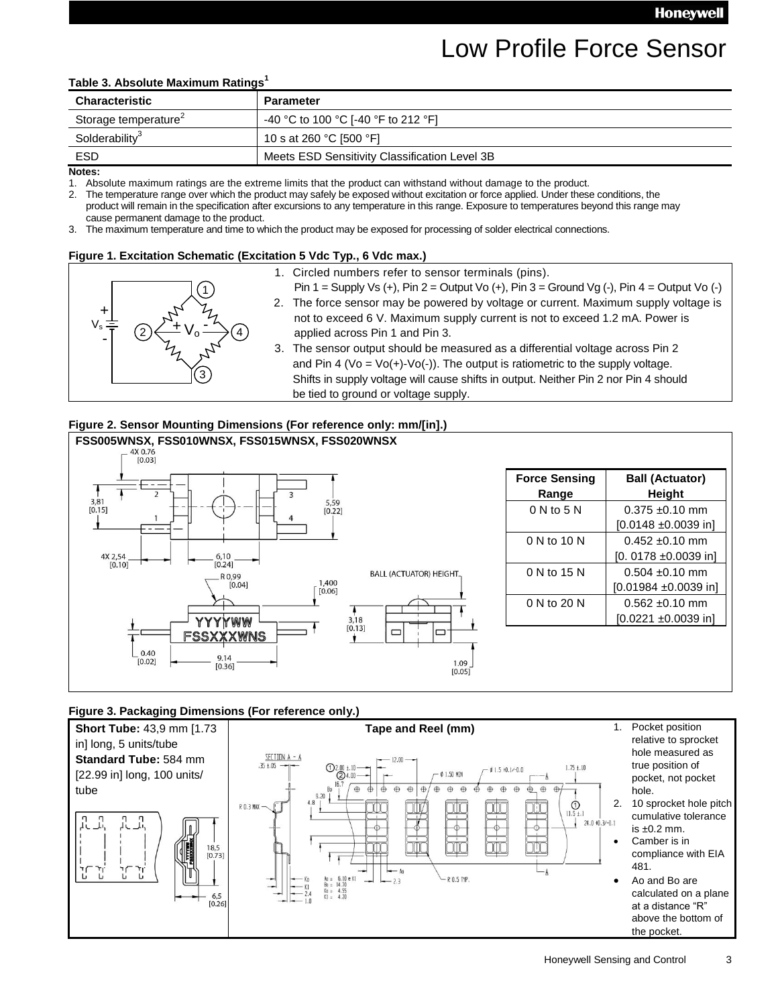## Low Profile Force Sensor

#### **Table 3. Absolute Maximum Ratings<sup>1</sup>**

| <b>Characteristic</b>            | <b>Parameter</b>                              |
|----------------------------------|-----------------------------------------------|
| Storage temperature <sup>2</sup> | -40 °C to 100 °C [-40 °F to 212 °F]           |
| Solderability <sup>3</sup>       | 10 s at 260 °C [500 °F]                       |
| ESD                              | Meets ESD Sensitivity Classification Level 3B |

**Notes:**

1. Absolute maximum ratings are the extreme limits that the product can withstand without damage to the product.<br>2. The temperature range over which the product may safely be exposed without excitation or force applied. Un

The temperature range over which the product may safely be exposed without excitation or force applied. Under these conditions, the product will remain in the specification after excursions to any temperature in this range. Exposure to temperatures beyond this range may cause permanent damage to the product.

3. The maximum temperature and time to which the product may be exposed for processing of solder electrical connections.

#### **Figure 1. Excitation Schematic (Excitation 5 Vdc Typ., 6 Vdc max.)**

 $V_s = \frac{1}{2}$ 3 2) ← TV<sub>0</sub> → (4 + 1. Circled numbers refer to sensor terminals (pins).<br>
Pin 1 = Supply Vs (+), Pin 2 = Output Vo (+), Pin 3 = 0<br>
2. The force sensor may be powered by voltage or current is not<br>
to exceed 6 V. Maximum supply current is not<br>

- 
- Pin  $1 =$  Supply Vs  $(+)$ , Pin  $2 =$  Output Vo  $(+)$ , Pin  $3 =$  Ground Vg  $(-)$ , Pin  $4 =$  Output Vo  $(-)$
- 2. The force sensor may be powered by voltage or current. Maximum supply voltage is not to exceed 6 V. Maximum supply current is not to exceed 1.2 mA. Power is applied across Pin 1 and Pin 3.
- 3. The sensor output should be measured as a differential voltage across Pin 2 and Pin 4 (Vo = Vo(+)-Vo(-)). The output is ratiometric to the supply voltage. Shifts in supply voltage will cause shifts in output. Neither Pin 2 nor Pin 4 should be tied to ground or voltage supply.

#### **Figure 2. Sensor Mounting Dimensions (For reference only: mm/[in].)**



#### **Figure 3. Packaging Dimensions (For reference only.)**